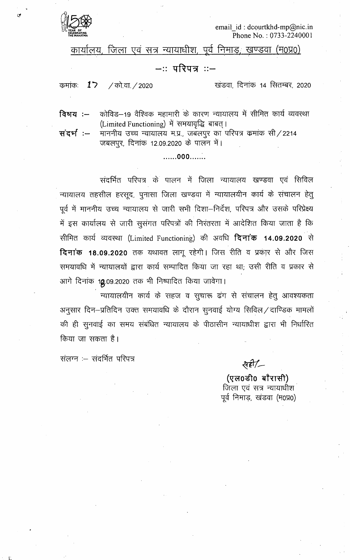

email id: dcourtkhd-mp@nic.in Phone No.: 0733-2240001

कार्यालय, जिला एवं सत्र न्यायाधीश, पूर्व निमाड़, खण्डवा (म0प्र0)

## −ः परिपत्र ः–

कमांक:  $17$ / को.वा. / 2020 खंडवा, दिनांक 14 सितम्बर, 2020

कोविड—19 वैश्विक महामारी के कारण न्यायालय में सीमित कार्य व्यवस्था विषय $:$ — (Limited Functioning) में समयावृद्धि बाबत्।

माननीय उच्च न्यायालय म.प्र., जबलपुर का परिपत्र कमांक सी/2214 संदर्भ :-जबलपूर, दिनांक 12.09.2020 के पालन में।

.......000.......

संदर्भित परिपत्र के पालन में जिला न्यायालय खण्डवा एवं सिविल न्यायालय तहसील हरसूद, पुनासा जिला खण्डवा में न्यायालयीन कार्य के संचालन हेतु पूर्व में माननीय उच्च न्यायालय से जारी सभी दिशा–निर्देश, परिपत्र और उसके परिप्रेक्ष्य में इस कार्यालय से जारी सुसंगत परिपत्रों की निरंतरता में आदेशित किया जाता है कि सीमित कार्य व्यवस्था (Limited Functioning) की अवधि **दिनांक 14.09.2020** से दिनांक 18.09.2020 तक यथावत लागू रहेगी। जिस रीति व प्रकार से और जिस समयावधि में न्यायालयों द्वारा कार्य सम्पादित किया जा रहा था; उसी रीति व प्रकार से आगे दिनांक 1**g**.09.2020 तक भी निष्पादित किया जावेगा।

न्यायालयीन कार्य के सहज व सुचारू ढंग से संचालन हेतु आवश्यकता अनुसार दिन–प्रतिदिन उक्त समयावधि के दौरान सुनवाई योग्य सिविल/दाण्डिक मामलों की ही सुनवाई का समय संबंधित न्यायालय के पीठासीन न्यायाधीश द्वारा भी निर्धारित किया जा सकता है।

संलग्न :- संदर्भित परिपत्र

संही/\_

(एल0डी0 बौरासी) जिला एवं सत्र न्यायाधीश पूर्व निमाड़, खंडवा (म0प्र0)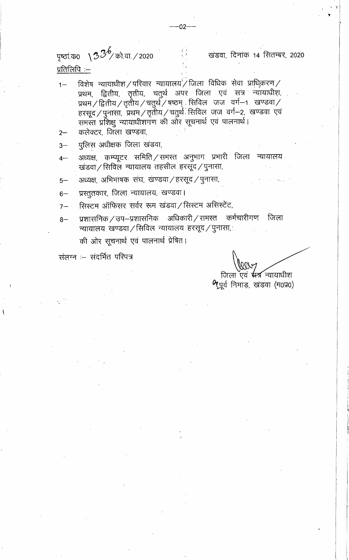पृष्ठां क0  $\,$  \  $3^5\!$  को वा / 2020

खंडवा, दिनांक 14 सितम्बर, 2020

<u>प्रतिलिपि :--</u>

- विशेष न्यायाधीश/परिवार न्यायालय $\overline{Z}$ जिला विधिक सेवा प्राधिकरण/  $1 -$ प्रथम, द्वितीय, तृतीय, चतुर्थ अपर जिला एवं सत्र न्यायाधीश, प्रथम / द्वितीय / तृतीय / चतुर्थ / षष्ठम् . सिविल जज वर्ग-1 खण्डवा / हरसूद/पुनासा, प्रथम/तृतीय/चतुर्थ सिविल जज वर्ग-2, खण्डवा एवं समस्त प्रशिक्षु न्यायाधीशगण की ओर सूचनार्थ एवं पालनार्थ।
- कलेक्टर, जिला खण्डवा,  $2 -$
- पुलिस अधीक्षक जिला खंडवा,  $3-$
- अध्यक्ष, कम्प्यूटर समिति / समस्त अनुभाग प्रभारी जिला न्यायालय  $4-$ खंडवा / सिविल न्यायालय तहसील हरसूद / पुनासा,
- अध्यक्ष, अभिभाषक संघ, खण्डवा / हरसूद / पुनासा,  $5-$
- प्रस्तुतकार, जिला न्यायालय, खण्डवा।  $6-$
- सिस्टम ऑफिसर सर्वर रूम खंडवा / सिस्टम असिस्टेंट,  $7-$
- प्रशासनिक / उप--प्रशासनिक अधिकारी / समस्त कर्मचारीगण जिला  $8-$ न्यायालय खण्डवा $/$ सिविल न्यायालय हरसूद $/$ पुनासा,
	- की ओर सूचनार्थ एवं पालनार्थ प्रेषित।

संलग्न :- संदर्भित परिपत्र

स्त्र न्यायाधीश जिला  $\alpha$ पुर्व निमाड़, खंडवा (म0प्र0)